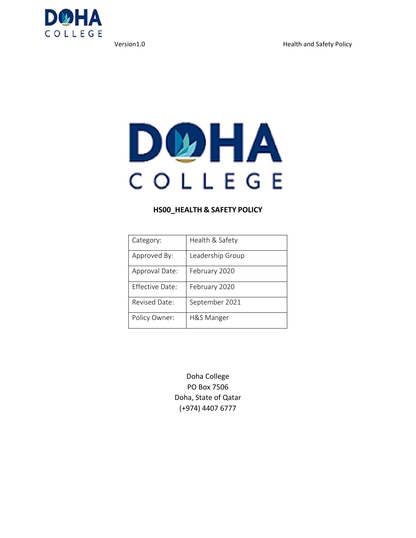

# DUHA COLLEGE

#### **HS00\_HEALTH & SAFETY POLICY**

| Category:              | Health & Safety  |
|------------------------|------------------|
| Approved By:           | Leadership Group |
| Approval Date:         | February 2020    |
| <b>Effective Date:</b> | February 2020    |
| Revised Date:          | September 2021   |
| Policy Owner:          | H&S Manger       |

Doha College PO Box 7506 Doha, State of Qatar (+974) 4407 6777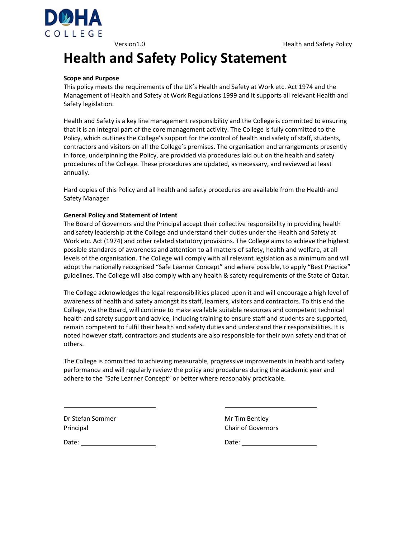

### **Health and Safety Policy Statement**

#### **Scope and Purpose**

This policy meets the requirements of the UK's Health and Safety at Work etc. Act 1974 and the Management of Health and Safety at Work Regulations 1999 and it supports all relevant Health and Safety legislation.

Health and Safety is a key line management responsibility and the College is committed to ensuring that it is an integral part of the core management activity. The College is fully committed to the Policy, which outlines the College's support for the control of health and safety of staff, students, contractors and visitors on all the College's premises. The organisation and arrangements presently in force, underpinning the Policy, are provided via procedures laid out on the health and safety procedures of the College. These procedures are updated, as necessary, and reviewed at least annually.

Hard copies of this Policy and all health and safety procedures are available from the Health and Safety Manager

#### **General Policy and Statement of Intent**

The Board of Governors and the Principal accept their collective responsibility in providing health and safety leadership at the College and understand their duties under the Health and Safety at Work etc. Act (1974) and other related statutory provisions. The College aims to achieve the highest possible standards of awareness and attention to all matters of safety, health and welfare, at all levels of the organisation. The College will comply with all relevant legislation as a minimum and will adopt the nationally recognised "Safe Learner Concept" and where possible, to apply "Best Practice" guidelines. The College will also comply with any health & safety requirements of the State of Qatar.

The College acknowledges the legal responsibilities placed upon it and will encourage a high level of awareness of health and safety amongst its staff, learners, visitors and contractors. To this end the College, via the Board, will continue to make available suitable resources and competent technical health and safety support and advice, including training to ensure staff and students are supported, remain competent to fulfil their health and safety duties and understand their responsibilities. It is noted however staff, contractors and students are also responsible for their own safety and that of others.

The College is committed to achieving measurable, progressive improvements in health and safety performance and will regularly review the policy and procedures during the academic year and adhere to the "Safe Learner Concept" or better where reasonably practicable.

<u> 1989 - Johann Barn, mars ann an t-Amhainn an t-Amhainn an t-Amhainn an t-Amhainn an t-Amhainn an t-Amhainn an </u>

Dr Stefan Sommer **Dr Stefan Sommer 1988** Mr Tim Bentley Principal **Chair of Governors** 

Date: Contract the Contract of the Contract of the Contract of Date: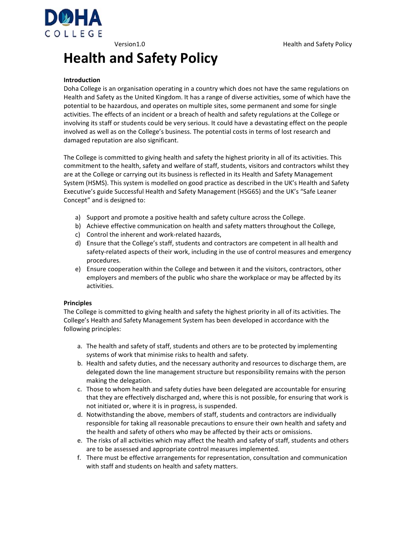Version1.0 **Manufath and Safety Policy** Health and Safety Policy



## **Health and Safety Policy**

#### **Introduction**

Doha College is an organisation operating in a country which does not have the same regulations on Health and Safety as the United Kingdom. It has a range of diverse activities, some of which have the potential to be hazardous, and operates on multiple sites, some permanent and some for single activities. The effects of an incident or a breach of health and safety regulations at the College or involving its staff or students could be very serious. It could have a devastating effect on the people involved as well as on the College's business. The potential costs in terms of lost research and damaged reputation are also significant.

The College is committed to giving health and safety the highest priority in all of its activities. This commitment to the health, safety and welfare of staff, students, visitors and contractors whilst they are at the College or carrying out its business is reflected in its Health and Safety Management System (HSMS). This system is modelled on good practice as described in the UK's Health and Safety Executive's guide Successful Health and Safety Management (HSG65) and the UK's "Safe Leaner Concept" and is designed to:

- a) Support and promote a positive health and safety culture across the College.
- b) Achieve effective communication on health and safety matters throughout the College,
- c) Control the inherent and work‐related hazards,
- d) Ensure that the College's staff, students and contractors are competent in all health and safety-related aspects of their work, including in the use of control measures and emergency procedures.
- e) Ensure cooperation within the College and between it and the visitors, contractors, other employers and members of the public who share the workplace or may be affected by its activities.

#### **Principles**

The College is committed to giving health and safety the highest priority in all of its activities. The College's Health and Safety Management System has been developed in accordance with the following principles:

- a. The health and safety of staff, students and others are to be protected by implementing systems of work that minimise risks to health and safety.
- b. Health and safety duties, and the necessary authority and resources to discharge them, are delegated down the line management structure but responsibility remains with the person making the delegation.
- c. Those to whom health and safety duties have been delegated are accountable for ensuring that they are effectively discharged and, where this is not possible, for ensuring that work is not initiated or, where it is in progress, is suspended.
- d. Notwithstanding the above, members of staff, students and contractors are individually responsible for taking all reasonable precautions to ensure their own health and safety and the health and safety of others who may be affected by their acts or omissions.
- e. The risks of all activities which may affect the health and safety of staff, students and others are to be assessed and appropriate control measures implemented.
- f. There must be effective arrangements for representation, consultation and communication with staff and students on health and safety matters.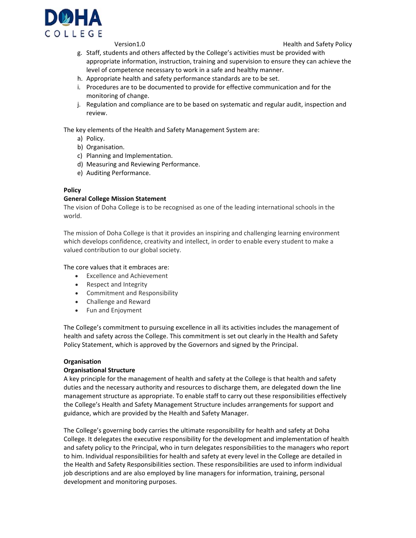

Version1.0 Health and Safety Policy

- g. Staff, students and others affected by the College's activities must be provided with appropriate information, instruction, training and supervision to ensure they can achieve the level of competence necessary to work in a safe and healthy manner.
- h. Appropriate health and safety performance standards are to be set.
- i. Procedures are to be documented to provide for effective communication and for the monitoring of change.
- j. Regulation and compliance are to be based on systematic and regular audit, inspection and review.

The key elements of the Health and Safety Management System are:

- a) Policy.
- b) Organisation.
- c) Planning and Implementation.
- d) Measuring and Reviewing Performance.
- e) Auditing Performance.

#### **Policy**

#### **General College Mission Statement**

The vision of Doha College is to be recognised as one of the leading international schools in the world.

The mission of Doha College is that it provides an inspiring and challenging learning environment which develops confidence, creativity and intellect, in order to enable every student to make a valued contribution to our global society.

The core values that it embraces are:

- Excellence and Achievement
- Respect and Integrity
- Commitment and Responsibility
- Challenge and Reward
- Fun and Enjoyment

The College's commitment to pursuing excellence in all its activities includes the management of health and safety across the College. This commitment is set out clearly in the Health and Safety Policy Statement, which is approved by the Governors and signed by the Principal.

#### **Organisation**

#### **Organisational Structure**

A key principle for the management of health and safety at the College is that health and safety duties and the necessary authority and resources to discharge them, are delegated down the line management structure as appropriate. To enable staff to carry out these responsibilities effectively the College's Health and Safety Management Structure includes arrangements for support and guidance, which are provided by the Health and Safety Manager.

The College's governing body carries the ultimate responsibility for health and safety at Doha College. It delegates the executive responsibility for the development and implementation of health and safety policy to the Principal, who in turn delegates responsibilities to the managers who report to him. Individual responsibilities for health and safety at every level in the College are detailed in the Health and Safety Responsibilities section. These responsibilities are used to inform individual job descriptions and are also employed by line managers for information, training, personal development and monitoring purposes.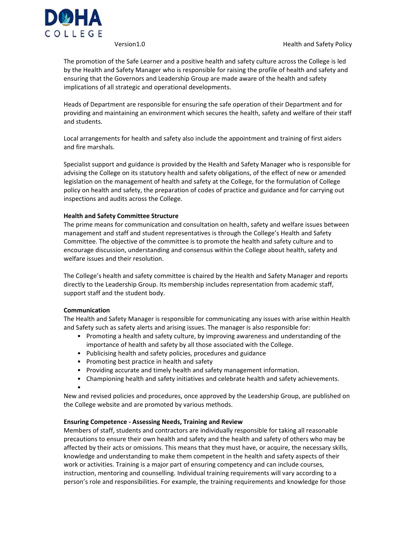

Version1.0 Health and Safety Policy

The promotion of the Safe Learner and a positive health and safety culture across the College is led by the Health and Safety Manager who is responsible for raising the profile of health and safety and ensuring that the Governors and Leadership Group are made aware of the health and safety implications of all strategic and operational developments.

Heads of Department are responsible for ensuring the safe operation of their Department and for providing and maintaining an environment which secures the health, safety and welfare of their staff and students.

Local arrangements for health and safety also include the appointment and training of first aiders and fire marshals.

Specialist support and guidance is provided by the Health and Safety Manager who is responsible for advising the College on its statutory health and safety obligations, of the effect of new or amended legislation on the management of health and safety at the College, for the formulation of College policy on health and safety, the preparation of codes of practice and guidance and for carrying out inspections and audits across the College.

#### **Health and Safety Committee Structure**

The prime means for communication and consultation on health, safety and welfare issues between management and staff and student representatives is through the College's Health and Safety Committee. The objective of the committee is to promote the health and safety culture and to encourage discussion, understanding and consensus within the College about health, safety and welfare issues and their resolution.

The College's health and safety committee is chaired by the Health and Safety Manager and reports directly to the Leadership Group. Its membership includes representation from academic staff, support staff and the student body.

#### **Communication**

The Health and Safety Manager is responsible for communicating any issues with arise within Health and Safety such as safety alerts and arising issues. The manager is also responsible for:

- Promoting a health and safety culture, by improving awareness and understanding of the importance of health and safety by all those associated with the College.
- Publicising health and safety policies, procedures and guidance
- Promoting best practice in health and safety
- Providing accurate and timely health and safety management information.
- Championing health and safety initiatives and celebrate health and safety achievements.
- New and revised policies and procedures, once approved by the Leadership Group, are published on the College website and are promoted by various methods.

#### **Ensuring Competence ‐ Assessing Needs, Training and Review**

Members of staff, students and contractors are individually responsible for taking all reasonable precautions to ensure their own health and safety and the health and safety of others who may be affected by their acts or omissions. This means that they must have, or acquire, the necessary skills, knowledge and understanding to make them competent in the health and safety aspects of their work or activities. Training is a major part of ensuring competency and can include courses, instruction, mentoring and counselling. Individual training requirements will vary according to a person's role and responsibilities. For example, the training requirements and knowledge for those